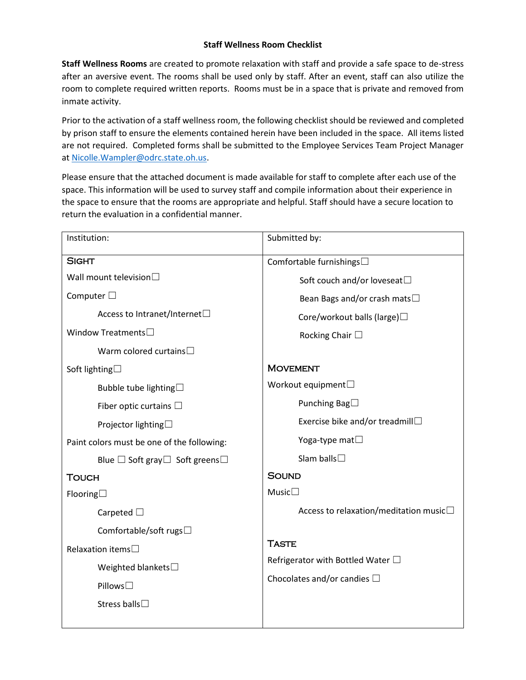## **Staff Wellness Room Checklist**

**Staff Wellness Rooms** are created to promote relaxation with staff and provide a safe space to de-stress after an aversive event. The rooms shall be used only by staff. After an event, staff can also utilize the room to complete required written reports. Rooms must be in a space that is private and removed from inmate activity.

Prior to the activation of a staff wellness room, the following checklist should be reviewed and completed by prison staff to ensure the elements contained herein have been included in the space. All items listed are not required. Completed forms shall be submitted to the Employee Services Team Project Manager a[t Nicolle.Wampler@odrc.state.oh.us.](mailto:Nicolle.Wampler@odrc.state.oh.us)

Please ensure that the attached document is made available for staff to complete after each use of the space. This information will be used to survey staff and compile information about their experience in the space to ensure that the rooms are appropriate and helpful. Staff should have a secure location to return the evaluation in a confidential manner.

| Institution:                                    | Submitted by:                             |
|-------------------------------------------------|-------------------------------------------|
| <b>SIGHT</b>                                    | Comfortable furnishings□                  |
| Wall mount television $\square$                 | Soft couch and/or loveseat□               |
| Computer $\square$                              | Bean Bags and/or crash mats□              |
| Access to Intranet/Internet□                    | Core/workout balls (large)□               |
| Window Treatments $\square$                     | Rocking Chair $\Box$                      |
| Warm colored curtains $\square$                 |                                           |
| Soft lighting <sup>□</sup>                      | <b>MOVEMENT</b>                           |
| Bubble tube lighting□                           | Workout equipment $\square$               |
| Fiber optic curtains $\Box$                     | Punching Bag $\Box$                       |
| Projector lighting□                             | Exercise bike and/or treadmill□           |
| Paint colors must be one of the following:      | Yoga-type mat $\Box$                      |
| Blue $\Box$ Soft gray $\Box$ Soft greens $\Box$ | Slam balls $\square$                      |
| <b>TOUCH</b>                                    | <b>SOUND</b>                              |
| Flooring $\square$                              | Music $\square$                           |
| Carpeted $\square$                              | Access to relaxation/meditation music□    |
| Comfortable/soft rugs□                          |                                           |
| Relaxation items <sup><math>\Box</math></sup>   | <b>TASTE</b>                              |
| Weighted blankets $\square$                     | Refrigerator with Bottled Water $\square$ |
| Pillows□                                        | Chocolates and/or candies $\square$       |
| Stress balls□                                   |                                           |
|                                                 |                                           |